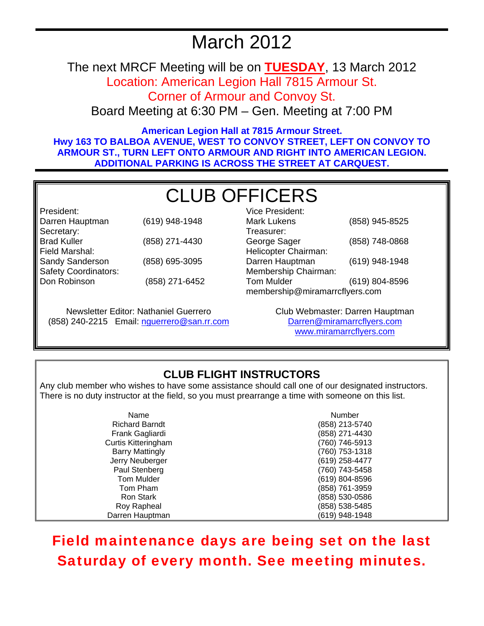## March 2012

The next MRCF Meeting will be on **TUESDAY**, 13 March 2012

Location: American Legion Hall 7815 Armour St. Corner of Armour and Convoy St.

Board Meeting at 6:30 PM – Gen. Meeting at 7:00 PM

**American Legion Hall at 7815 Armour Street. Hwy 163 TO BALBOA AVENUE, WEST TO CONVOY STREET, LEFT ON CONVOY TO ARMOUR ST., TURN LEFT ONTO ARMOUR AND RIGHT INTO AMERICAN LEGION. ADDITIONAL PARKING IS ACROSS THE STREET AT CARQUEST.** 

# CLUB OFFICERS

| President:                  |                |
|-----------------------------|----------------|
| Darren Hauptman             | (619) 948-1948 |
| Secretary:                  |                |
| <b>Brad Kuller</b>          | (858) 271-4430 |
| Field Marshal:              |                |
| Sandy Sanderson             | (858) 695-3095 |
| <b>Safety Coordinators:</b> |                |
| Don Robinson                | (858) 271-6452 |
|                             |                |

Newsletter Editor: Nathaniel Guerrero (858) 240-2215 Email: nguerrero@san.rr.com

| Vice President:                |                |  |
|--------------------------------|----------------|--|
| <b>Mark Lukens</b>             | (858) 945-8525 |  |
| Treasurer:                     |                |  |
| George Sager                   | (858) 748-0868 |  |
| Helicopter Chairman:           |                |  |
| Darren Hauptman                | (619) 948-1948 |  |
| Membership Chairman:           |                |  |
| <b>Tom Mulder</b>              | (619) 804-8596 |  |
| membership@miramarrcflyers.com |                |  |

Club Webmaster: Darren Hauptman Darren@miramarrcflyers.com www.miramarrcflyers.com

## **CLUB FLIGHT INSTRUCTORS**

Any club member who wishes to have some assistance should call one of our designated instructors. There is no duty instructor at the field, so you must prearrange a time with someone on this list.

| Name                       | Number         |
|----------------------------|----------------|
| <b>Richard Barndt</b>      | (858) 213-5740 |
| Frank Gagliardi            | (858) 271-4430 |
| <b>Curtis Kitteringham</b> | (760) 746-5913 |
| <b>Barry Mattingly</b>     | (760) 753-1318 |
| Jerry Neuberger            | (619) 258-4477 |
| Paul Stenberg              | (760) 743-5458 |
| Tom Mulder                 | (619) 804-8596 |
| Tom Pham                   | (858) 761-3959 |
| Ron Stark                  | (858) 530-0586 |
| Roy Rapheal                | (858) 538-5485 |
| Darren Hauptman            | (619) 948-1948 |

## Field maintenance days are being set on the last Saturday of every month. See meeting minutes.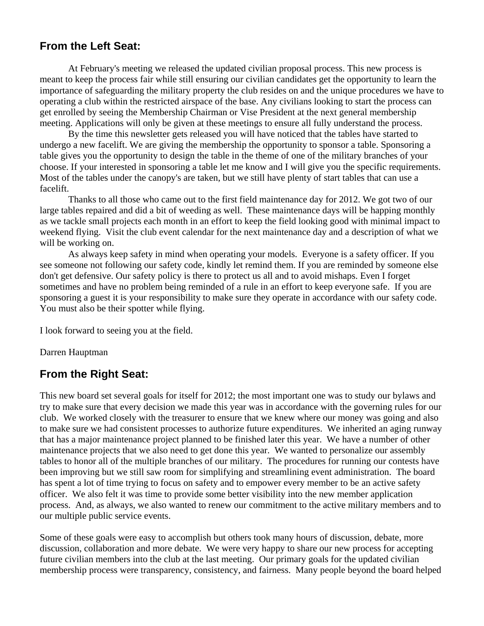### **From the Left Seat:**

 At February's meeting we released the updated civilian proposal process. This new process is meant to keep the process fair while still ensuring our civilian candidates get the opportunity to learn the importance of safeguarding the military property the club resides on and the unique procedures we have to operating a club within the restricted airspace of the base. Any civilians looking to start the process can get enrolled by seeing the Membership Chairman or Vise President at the next general membership meeting. Applications will only be given at these meetings to ensure all fully understand the process.

 By the time this newsletter gets released you will have noticed that the tables have started to undergo a new facelift. We are giving the membership the opportunity to sponsor a table. Sponsoring a table gives you the opportunity to design the table in the theme of one of the military branches of your choose. If your interested in sponsoring a table let me know and I will give you the specific requirements. Most of the tables under the canopy's are taken, but we still have plenty of start tables that can use a facelift.

 Thanks to all those who came out to the first field maintenance day for 2012. We got two of our large tables repaired and did a bit of weeding as well. These maintenance days will be happing monthly as we tackle small projects each month in an effort to keep the field looking good with minimal impact to weekend flying. Visit the club event calendar for the next maintenance day and a description of what we will be working on.

 As always keep safety in mind when operating your models. Everyone is a safety officer. If you see someone not following our safety code, kindly let remind them. If you are reminded by someone else don't get defensive. Our safety policy is there to protect us all and to avoid mishaps. Even I forget sometimes and have no problem being reminded of a rule in an effort to keep everyone safe. If you are sponsoring a guest it is your responsibility to make sure they operate in accordance with our safety code. You must also be their spotter while flying.

I look forward to seeing you at the field.

Darren Hauptman

### **From the Right Seat:**

This new board set several goals for itself for 2012; the most important one was to study our bylaws and try to make sure that every decision we made this year was in accordance with the governing rules for our club. We worked closely with the treasurer to ensure that we knew where our money was going and also to make sure we had consistent processes to authorize future expenditures. We inherited an aging runway that has a major maintenance project planned to be finished later this year. We have a number of other maintenance projects that we also need to get done this year. We wanted to personalize our assembly tables to honor all of the multiple branches of our military. The procedures for running our contests have been improving but we still saw room for simplifying and streamlining event administration. The board has spent a lot of time trying to focus on safety and to empower every member to be an active safety officer. We also felt it was time to provide some better visibility into the new member application process. And, as always, we also wanted to renew our commitment to the active military members and to our multiple public service events.

Some of these goals were easy to accomplish but others took many hours of discussion, debate, more discussion, collaboration and more debate. We were very happy to share our new process for accepting future civilian members into the club at the last meeting. Our primary goals for the updated civilian membership process were transparency, consistency, and fairness. Many people beyond the board helped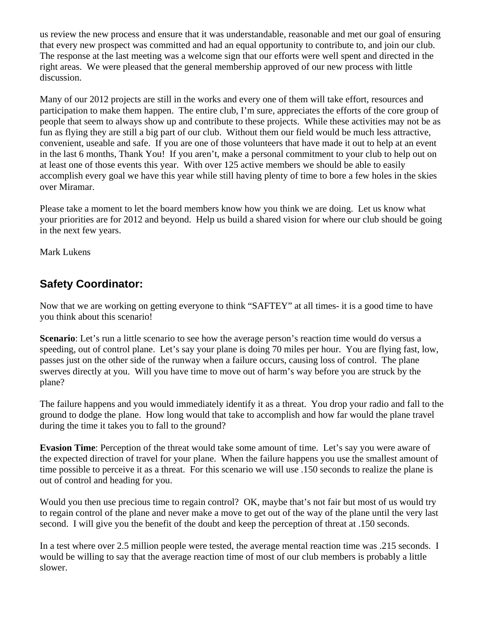us review the new process and ensure that it was understandable, reasonable and met our goal of ensuring that every new prospect was committed and had an equal opportunity to contribute to, and join our club. The response at the last meeting was a welcome sign that our efforts were well spent and directed in the right areas. We were pleased that the general membership approved of our new process with little discussion.

Many of our 2012 projects are still in the works and every one of them will take effort, resources and participation to make them happen. The entire club, I'm sure, appreciates the efforts of the core group of people that seem to always show up and contribute to these projects. While these activities may not be as fun as flying they are still a big part of our club. Without them our field would be much less attractive, convenient, useable and safe. If you are one of those volunteers that have made it out to help at an event in the last 6 months, Thank You! If you aren't, make a personal commitment to your club to help out on at least one of those events this year. With over 125 active members we should be able to easily accomplish every goal we have this year while still having plenty of time to bore a few holes in the skies over Miramar.

Please take a moment to let the board members know how you think we are doing. Let us know what your priorities are for 2012 and beyond. Help us build a shared vision for where our club should be going in the next few years.

Mark Lukens

## **Safety Coordinator:**

Now that we are working on getting everyone to think "SAFTEY" at all times- it is a good time to have you think about this scenario!

**Scenario**: Let's run a little scenario to see how the average person's reaction time would do versus a speeding, out of control plane. Let's say your plane is doing 70 miles per hour. You are flying fast, low, passes just on the other side of the runway when a failure occurs, causing loss of control. The plane swerves directly at you. Will you have time to move out of harm's way before you are struck by the plane?

The failure happens and you would immediately identify it as a threat. You drop your radio and fall to the ground to dodge the plane. How long would that take to accomplish and how far would the plane travel during the time it takes you to fall to the ground?

**Evasion Time**: Perception of the threat would take some amount of time. Let's say you were aware of the expected direction of travel for your plane. When the failure happens you use the smallest amount of time possible to perceive it as a threat. For this scenario we will use .150 seconds to realize the plane is out of control and heading for you.

Would you then use precious time to regain control? OK, maybe that's not fair but most of us would try to regain control of the plane and never make a move to get out of the way of the plane until the very last second. I will give you the benefit of the doubt and keep the perception of threat at .150 seconds.

In a test where over 2.5 million people were tested, the average mental reaction time was .215 seconds. I would be willing to say that the average reaction time of most of our club members is probably a little slower.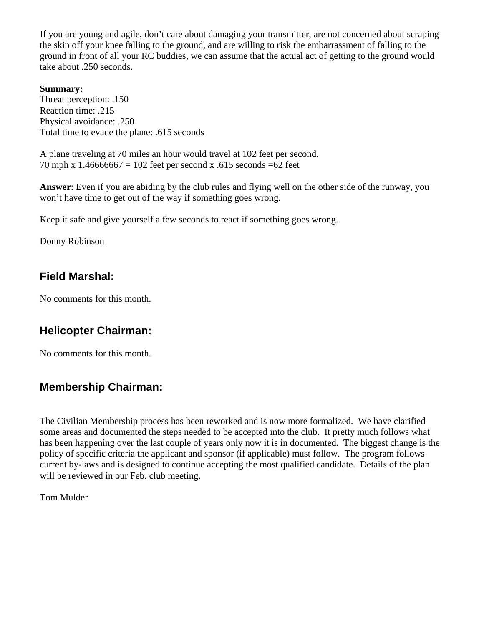If you are young and agile, don't care about damaging your transmitter, are not concerned about scraping the skin off your knee falling to the ground, and are willing to risk the embarrassment of falling to the ground in front of all your RC buddies, we can assume that the actual act of getting to the ground would take about .250 seconds.

#### **Summary:**

Threat perception: .150 Reaction time: .215 Physical avoidance: .250 Total time to evade the plane: .615 seconds

A plane traveling at 70 miles an hour would travel at 102 feet per second. 70 mph x 1.46666667 = 102 feet per second x .615 seconds =62 feet

**Answer**: Even if you are abiding by the club rules and flying well on the other side of the runway, you won't have time to get out of the way if something goes wrong.

Keep it safe and give yourself a few seconds to react if something goes wrong.

Donny Robinson

## **Field Marshal:**

No comments for this month.

## **Helicopter Chairman:**

No comments for this month.

## **Membership Chairman:**

The Civilian Membership process has been reworked and is now more formalized. We have clarified some areas and documented the steps needed to be accepted into the club. It pretty much follows what has been happening over the last couple of years only now it is in documented. The biggest change is the policy of specific criteria the applicant and sponsor (if applicable) must follow. The program follows current by-laws and is designed to continue accepting the most qualified candidate. Details of the plan will be reviewed in our Feb. club meeting.

Tom Mulder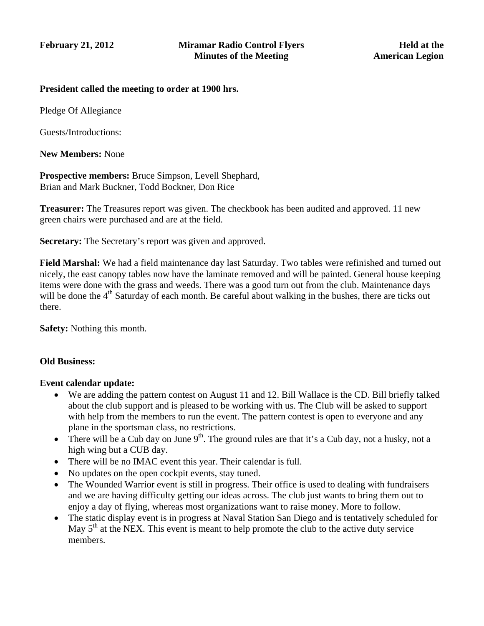#### **President called the meeting to order at 1900 hrs.**

Pledge Of Allegiance

Guests/Introductions:

**New Members:** None

**Prospective members:** Bruce Simpson, Levell Shephard, Brian and Mark Buckner, Todd Bockner, Don Rice

**Treasurer:** The Treasures report was given. The checkbook has been audited and approved. 11 new green chairs were purchased and are at the field.

**Secretary:** The Secretary's report was given and approved.

**Field Marshal:** We had a field maintenance day last Saturday. Two tables were refinished and turned out nicely, the east canopy tables now have the laminate removed and will be painted. General house keeping items were done with the grass and weeds. There was a good turn out from the club. Maintenance days will be done the  $4<sup>th</sup>$  Saturday of each month. Be careful about walking in the bushes, there are ticks out there.

**Safety:** Nothing this month.

#### **Old Business:**

#### **Event calendar update:**

- We are adding the pattern contest on August 11 and 12. Bill Wallace is the CD. Bill briefly talked about the club support and is pleased to be working with us. The Club will be asked to support with help from the members to run the event. The pattern contest is open to everyone and any plane in the sportsman class, no restrictions.
- There will be a Cub day on June  $9<sup>th</sup>$ . The ground rules are that it's a Cub day, not a husky, not a high wing but a CUB day.
- There will be no IMAC event this year. Their calendar is full.
- No updates on the open cockpit events, stay tuned.
- The Wounded Warrior event is still in progress. Their office is used to dealing with fundraisers and we are having difficulty getting our ideas across. The club just wants to bring them out to enjoy a day of flying, whereas most organizations want to raise money. More to follow.
- The static display event is in progress at Naval Station San Diego and is tentatively scheduled for May  $5<sup>th</sup>$  at the NEX. This event is meant to help promote the club to the active duty service members.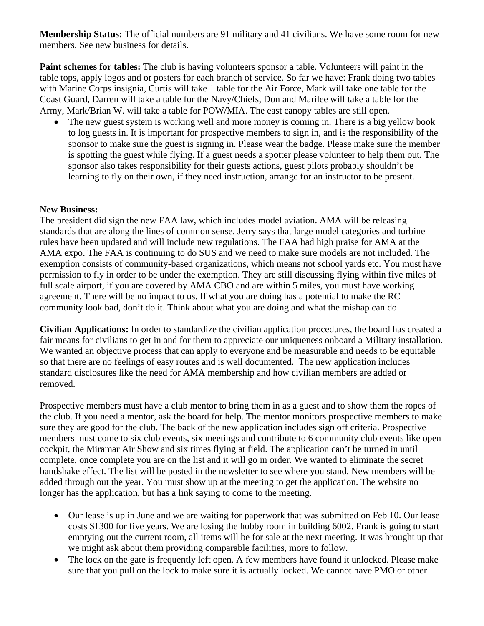**Membership Status:** The official numbers are 91 military and 41 civilians. We have some room for new members. See new business for details.

**Paint schemes for tables:** The club is having volunteers sponsor a table. Volunteers will paint in the table tops, apply logos and or posters for each branch of service. So far we have: Frank doing two tables with Marine Corps insignia, Curtis will take 1 table for the Air Force, Mark will take one table for the Coast Guard, Darren will take a table for the Navy/Chiefs, Don and Marilee will take a table for the Army, Mark/Brian W. will take a table for POW/MIA. The east canopy tables are still open.

• The new guest system is working well and more money is coming in. There is a big yellow book to log guests in. It is important for prospective members to sign in, and is the responsibility of the sponsor to make sure the guest is signing in. Please wear the badge. Please make sure the member is spotting the guest while flying. If a guest needs a spotter please volunteer to help them out. The sponsor also takes responsibility for their guests actions, guest pilots probably shouldn't be learning to fly on their own, if they need instruction, arrange for an instructor to be present.

#### **New Business:**

The president did sign the new FAA law, which includes model aviation. AMA will be releasing standards that are along the lines of common sense. Jerry says that large model categories and turbine rules have been updated and will include new regulations. The FAA had high praise for AMA at the AMA expo. The FAA is continuing to do SUS and we need to make sure models are not included. The exemption consists of community-based organizations, which means not school yards etc. You must have permission to fly in order to be under the exemption. They are still discussing flying within five miles of full scale airport, if you are covered by AMA CBO and are within 5 miles, you must have working agreement. There will be no impact to us. If what you are doing has a potential to make the RC community look bad, don't do it. Think about what you are doing and what the mishap can do.

**Civilian Applications:** In order to standardize the civilian application procedures, the board has created a fair means for civilians to get in and for them to appreciate our uniqueness onboard a Military installation. We wanted an objective process that can apply to everyone and be measurable and needs to be equitable so that there are no feelings of easy routes and is well documented. The new application includes standard disclosures like the need for AMA membership and how civilian members are added or removed.

Prospective members must have a club mentor to bring them in as a guest and to show them the ropes of the club. If you need a mentor, ask the board for help. The mentor monitors prospective members to make sure they are good for the club. The back of the new application includes sign off criteria. Prospective members must come to six club events, six meetings and contribute to 6 community club events like open cockpit, the Miramar Air Show and six times flying at field. The application can't be turned in until complete, once complete you are on the list and it will go in order. We wanted to eliminate the secret handshake effect. The list will be posted in the newsletter to see where you stand. New members will be added through out the year. You must show up at the meeting to get the application. The website no longer has the application, but has a link saying to come to the meeting.

- Our lease is up in June and we are waiting for paperwork that was submitted on Feb 10. Our lease costs \$1300 for five years. We are losing the hobby room in building 6002. Frank is going to start emptying out the current room, all items will be for sale at the next meeting. It was brought up that we might ask about them providing comparable facilities, more to follow.
- The lock on the gate is frequently left open. A few members have found it unlocked. Please make sure that you pull on the lock to make sure it is actually locked. We cannot have PMO or other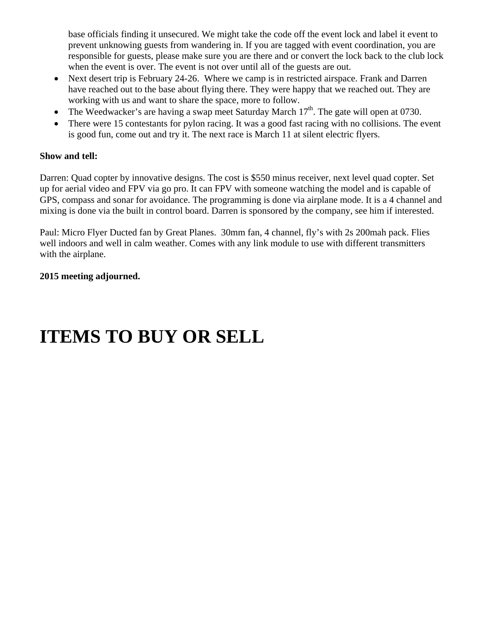base officials finding it unsecured. We might take the code off the event lock and label it event to prevent unknowing guests from wandering in. If you are tagged with event coordination, you are responsible for guests, please make sure you are there and or convert the lock back to the club lock when the event is over. The event is not over until all of the guests are out.

- Next desert trip is February 24-26. Where we camp is in restricted airspace. Frank and Darren have reached out to the base about flying there. They were happy that we reached out. They are working with us and want to share the space, more to follow.
- The Weedwacker's are having a swap meet Saturday March  $17<sup>th</sup>$ . The gate will open at 0730.
- There were 15 contestants for pylon racing. It was a good fast racing with no collisions. The event is good fun, come out and try it. The next race is March 11 at silent electric flyers.

#### **Show and tell:**

Darren: Quad copter by innovative designs. The cost is \$550 minus receiver, next level quad copter. Set up for aerial video and FPV via go pro. It can FPV with someone watching the model and is capable of GPS, compass and sonar for avoidance. The programming is done via airplane mode. It is a 4 channel and mixing is done via the built in control board. Darren is sponsored by the company, see him if interested.

Paul: Micro Flyer Ducted fan by Great Planes. 30mm fan, 4 channel, fly's with 2s 200mah pack. Flies well indoors and well in calm weather. Comes with any link module to use with different transmitters with the airplane.

#### **2015 meeting adjourned.**

## **ITEMS TO BUY OR SELL**